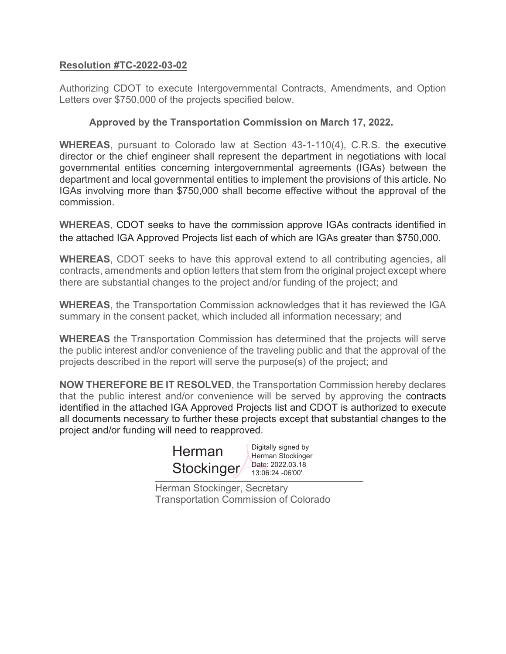## **Resolution #TC-2022-03-02**

Authorizing CDOT to execute Intergovernmental Contracts, Amendments, and Option Letters over \$750,000 of the projects specified below.

## **Approved by the Transportation Commission on March 17, 2022.**

**WHEREAS**, pursuant to Colorado law at Section 43-1-110(4), C.R.S. the executive director or the chief engineer shall represent the department in negotiations with local governmental entities concerning intergovernmental agreements (IGAs) between the department and local governmental entities to implement the provisions of this article. No IGAs involving more than \$750,000 shall become effective without the approval of the commission.

**WHEREAS**, CDOT seeks to have the commission approve IGAs contracts identified in the attached IGA Approved Projects list each of which are IGAs greater than \$750,000.

**WHEREAS**, CDOT seeks to have this approval extend to all contributing agencies, all contracts, amendments and option letters that stem from the original project except where there are substantial changes to the project and/or funding of the project; and

**WHEREAS**, the Transportation Commission acknowledges that it has reviewed the IGA summary in the consent packet, which included all information necessary; and

**WHEREAS** the Transportation Commission has determined that the projects will serve the public interest and/or convenience of the traveling public and that the approval of the projects described in the report will serve the purpose(s) of the project; and

**NOW THEREFORE BE IT RESOLVED**, the Transportation Commission hereby declares that the public interest and/or convenience will be served by approving the contracts identified in the attached IGA Approved Projects list and CDOT is authorized to execute all documents necessary to further these projects except that substantial changes to the project and/or funding will need to reapproved.

| Herman     | Digitally signed by<br>Herman Stockinger<br>Date: 2022.03.18<br>13:06:24 -06'00' |  |  |
|------------|----------------------------------------------------------------------------------|--|--|
| Stockinger |                                                                                  |  |  |
|            |                                                                                  |  |  |

Herman Stockinger, Secretary Transportation Commission of Colorado